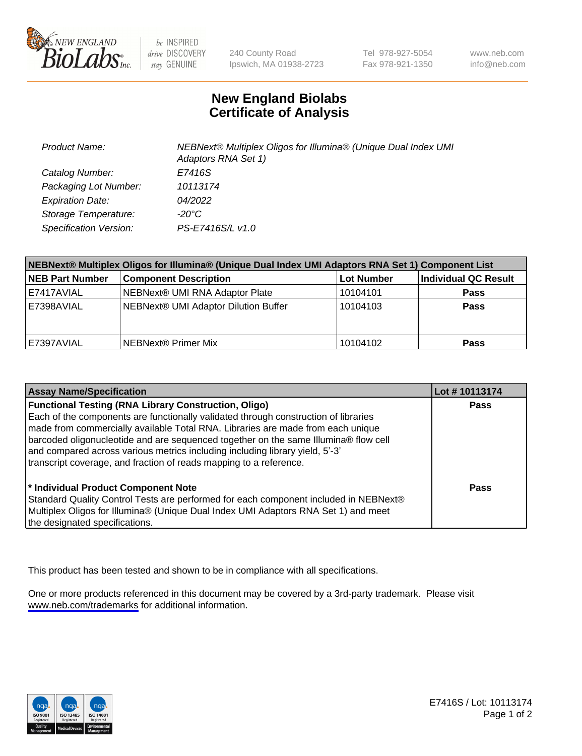

be INSPIRED drive DISCOVERY stay GENUINE

240 County Road Ipswich, MA 01938-2723 Tel 978-927-5054 Fax 978-921-1350

www.neb.com info@neb.com

## **New England Biolabs Certificate of Analysis**

| <b>Product Name:</b>    | NEBNext® Multiplex Oligos for Illumina® (Unique Dual Index UMI<br>Adaptors RNA Set 1) |
|-------------------------|---------------------------------------------------------------------------------------|
| Catalog Number:         | E7416S                                                                                |
| Packaging Lot Number:   | 10113174                                                                              |
| <b>Expiration Date:</b> | 04/2022                                                                               |
| Storage Temperature:    | $-20^{\circ}$ C                                                                       |
| Specification Version:  | PS-E7416S/L v1.0                                                                      |

| NEBNext® Multiplex Oligos for Illumina® (Unique Dual Index UMI Adaptors RNA Set 1) Component List |                                      |                   |                      |  |
|---------------------------------------------------------------------------------------------------|--------------------------------------|-------------------|----------------------|--|
| <b>NEB Part Number</b>                                                                            | <b>Component Description</b>         | <b>Lot Number</b> | Individual QC Result |  |
| E7417AVIAL                                                                                        | NEBNext® UMI RNA Adaptor Plate       | 10104101          | <b>Pass</b>          |  |
| E7398AVIAL                                                                                        | NEBNext® UMI Adaptor Dilution Buffer | 10104103          | <b>Pass</b>          |  |
| E7397AVIAL                                                                                        | NEBNext® Primer Mix                  | 10104102          | <b>Pass</b>          |  |

| <b>Assay Name/Specification</b>                                                                                                                                        | Lot #10113174 |
|------------------------------------------------------------------------------------------------------------------------------------------------------------------------|---------------|
| <b>Functional Testing (RNA Library Construction, Oligo)</b>                                                                                                            | <b>Pass</b>   |
| Each of the components are functionally validated through construction of libraries                                                                                    |               |
| made from commercially available Total RNA. Libraries are made from each unique<br>barcoded oligonucleotide and are sequenced together on the same Illumina® flow cell |               |
| and compared across various metrics including including library yield, 5'-3'                                                                                           |               |
| transcript coverage, and fraction of reads mapping to a reference.                                                                                                     |               |
| * Individual Product Component Note                                                                                                                                    | Pass          |
| Standard Quality Control Tests are performed for each component included in NEBNext®                                                                                   |               |
| Multiplex Oligos for Illumina® (Unique Dual Index UMI Adaptors RNA Set 1) and meet                                                                                     |               |
| the designated specifications.                                                                                                                                         |               |

This product has been tested and shown to be in compliance with all specifications.

One or more products referenced in this document may be covered by a 3rd-party trademark. Please visit <www.neb.com/trademarks>for additional information.